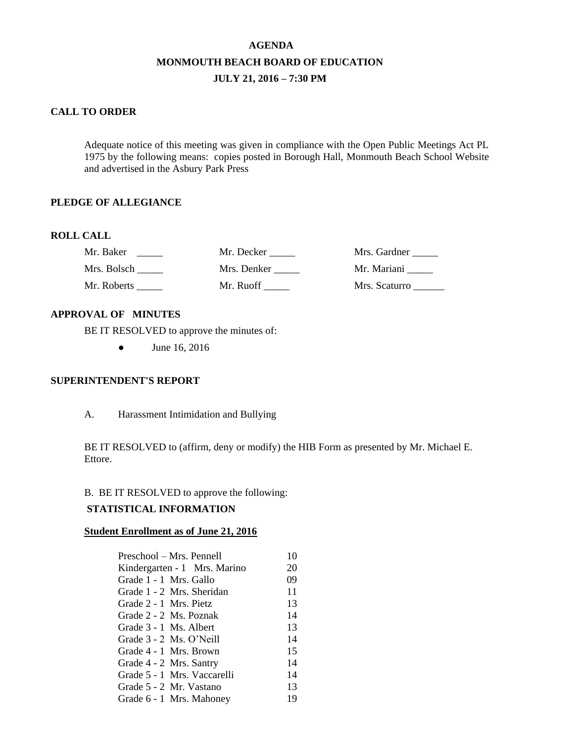# **AGENDA MONMOUTH BEACH BOARD OF EDUCATION JULY 21, 2016 – 7:30 PM**

# **CALL TO ORDER**

Adequate notice of this meeting was given in compliance with the Open Public Meetings Act PL 1975 by the following means: copies posted in Borough Hall, Monmouth Beach School Website and advertised in the Asbury Park Press

# **PLEDGE OF ALLEGIANCE**

# **ROLL CALL**

| Mr. Baker   | Mr. Decker  | Mrs. Gardner  |
|-------------|-------------|---------------|
| Mrs. Bolsch | Mrs. Denker | Mr. Mariani   |
| Mr. Roberts | Mr. Ruoff   | Mrs. Scaturro |

# **APPROVAL OF MINUTES**

BE IT RESOLVED to approve the minutes of:

• June 16, 2016

# **SUPERINTENDENT'S REPORT**

A. Harassment Intimidation and Bullying

BE IT RESOLVED to (affirm, deny or modify) the HIB Form as presented by Mr. Michael E. Ettore.

# B. BE IT RESOLVED to approve the following:

# **STATISTICAL INFORMATION**

### **Student Enrollment as of June 21, 2016**

| Preschool – Mrs. Pennell     | 10 |
|------------------------------|----|
| Kindergarten - 1 Mrs. Marino | 20 |
| Grade 1 - 1 Mrs. Gallo       | 09 |
| Grade 1 - 2 Mrs. Sheridan    | 11 |
| Grade 2 - 1 Mrs. Pietz       | 13 |
| Grade 2 - 2 Ms. Poznak       | 14 |
| Grade 3 - 1 Ms. Albert       | 13 |
| Grade 3 - 2 Ms. O'Neill      | 14 |
| Grade 4 - 1 Mrs. Brown       | 15 |
| Grade 4 - 2 Mrs. Santry      | 14 |
| Grade 5 - 1 Mrs. Vaccarelli  | 14 |
| Grade 5 - 2 Mr. Vastano      | 13 |
| Grade 6 - 1 Mrs. Mahoney     | 19 |
|                              |    |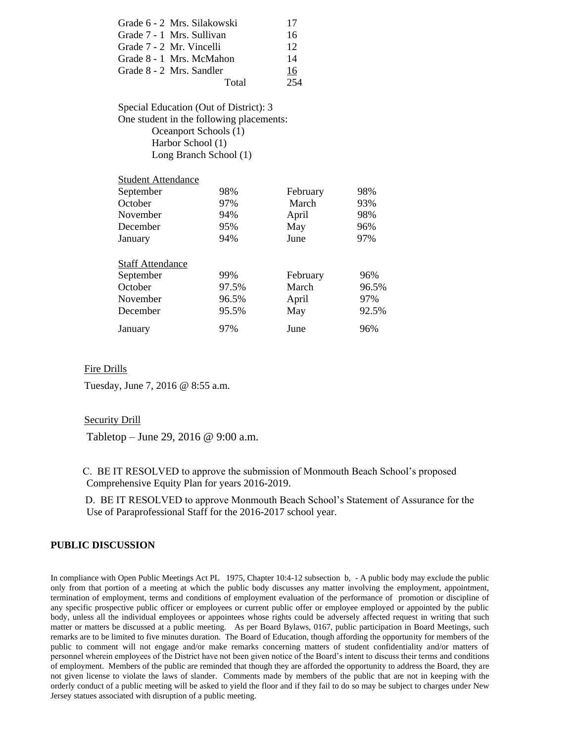| Grade 6 - 2 Mrs. Silakowski | 17  |
|-----------------------------|-----|
| Grade 7 - 1 Mrs. Sullivan   | 16  |
| Grade 7 - 2 Mr. Vincelli    | 12  |
| Grade 8 - 1 Mrs. McMahon    | 14  |
| Grade 8 - 2 Mrs. Sandler    | 16  |
| Total                       | 254 |
|                             |     |

Special Education (Out of District): 3 One student in the following placements: Oceanport Schools (1) Harbor School (1) Long Branch School (1)

| Student Attendance                   |       |          |       |
|--------------------------------------|-------|----------|-------|
| September                            | 98%   | February | 98%   |
| October                              | 97%   | March    | 93%   |
| November                             | 94%   | April    | 98%   |
| December                             | 95%   | May      | 96%   |
| January                              | 94%   | June     | 97%   |
| <b>Staff Attendance</b><br>September | 99%   | February | 96%   |
| October                              | 97.5% | March    | 96.5% |
| November                             | 96.5% | April    | 97%   |
| December                             | 95.5% | May      | 92.5% |
| January                              | 97%   | June     | 96%   |

### Fire Drills

Tuesday, June 7, 2016 @ 8:55 a.m.

Student Attendance

#### Security Drill

Tabletop – June 29, 2016 @ 9:00 a.m.

C. BE IT RESOLVED to approve the submission of Monmouth Beach School's proposed Comprehensive Equity Plan for years 2016-2019.

 D. BE IT RESOLVED to approve Monmouth Beach School's Statement of Assurance for the Use of Paraprofessional Staff for the 2016-2017 school year.

#### **PUBLIC DISCUSSION**

In compliance with Open Public Meetings Act PL 1975, Chapter 10:4-12 subsection b, - A public body may exclude the public only from that portion of a meeting at which the public body discusses any matter involving the employment, appointment, termination of employment, terms and conditions of employment evaluation of the performance of promotion or discipline of any specific prospective public officer or employees or current public offer or employee employed or appointed by the public body, unless all the individual employees or appointees whose rights could be adversely affected request in writing that such matter or matters be discussed at a public meeting. As per Board Bylaws, 0167, public participation in Board Meetings, such remarks are to be limited to five minutes duration. The Board of Education, though affording the opportunity for members of the public to comment will not engage and/or make remarks concerning matters of student confidentiality and/or matters of personnel wherein employees of the District have not been given notice of the Board's intent to discuss their terms and conditions of employment. Members of the public are reminded that though they are afforded the opportunity to address the Board, they are not given license to violate the laws of slander. Comments made by members of the public that are not in keeping with the orderly conduct of a public meeting will be asked to yield the floor and if they fail to do so may be subject to charges under New Jersey statues associated with disruption of a public meeting.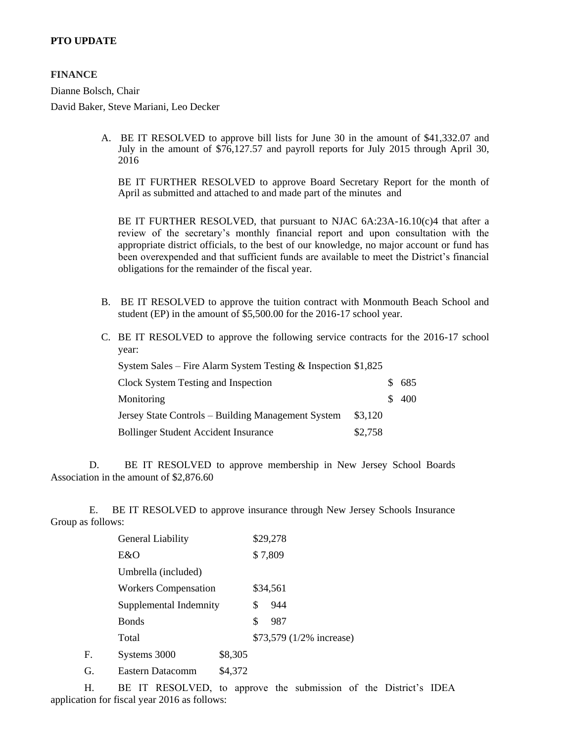# **PTO UPDATE**

# **FINANCE**

Dianne Bolsch, Chair

David Baker, Steve Mariani, Leo Decker

A. BE IT RESOLVED to approve bill lists for June 30 in the amount of \$41,332.07 and July in the amount of \$76,127.57 and payroll reports for July 2015 through April 30, 2016

BE IT FURTHER RESOLVED to approve Board Secretary Report for the month of April as submitted and attached to and made part of the minutes and

BE IT FURTHER RESOLVED, that pursuant to NJAC 6A:23A-16.10(c)4 that after a review of the secretary's monthly financial report and upon consultation with the appropriate district officials, to the best of our knowledge, no major account or fund has been overexpended and that sufficient funds are available to meet the District's financial obligations for the remainder of the fiscal year.

- B. BE IT RESOLVED to approve the tuition contract with Monmouth Beach School and student (EP) in the amount of \$5,500.00 for the 2016-17 school year.
- C. BE IT RESOLVED to approve the following service contracts for the 2016-17 school year:

| System Sales – Fire Alarm System Testing $&$ Inspection \$1,825 |         |       |
|-----------------------------------------------------------------|---------|-------|
| Clock System Testing and Inspection                             |         | 685   |
| Monitoring                                                      |         | \$400 |
| Jersey State Controls – Building Management System              | \$3,120 |       |
| <b>Bollinger Student Accident Insurance</b>                     | \$2,758 |       |

 D. BE IT RESOLVED to approve membership in New Jersey School Boards Association in the amount of \$2,876.60

 E. BE IT RESOLVED to approve insurance through New Jersey Schools Insurance Group as follows:

|    | General Liability           |         |    | \$29,278                 |
|----|-----------------------------|---------|----|--------------------------|
|    | E&O                         |         |    | \$7,809                  |
|    | Umbrella (included)         |         |    |                          |
|    | <b>Workers Compensation</b> |         |    | \$34,561                 |
|    | Supplemental Indemnity      |         | S  | 944                      |
|    | <b>Bonds</b>                |         | \$ | 987                      |
|    | Total                       |         |    | \$73,579 (1/2% increase) |
| F. | Systems 3000                | \$8,305 |    |                          |
| G. | Eastern Datacomm            | \$4,372 |    |                          |

H. BE IT RESOLVED, to approve the submission of the District's IDEA application for fiscal year 2016 as follows: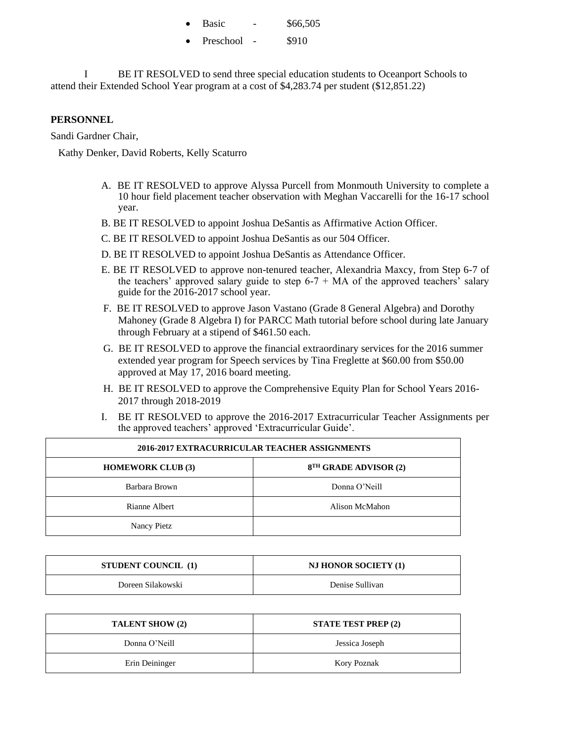|  | Basic |  | \$66,505 |
|--|-------|--|----------|
|--|-------|--|----------|

Preschool - \$910

BE IT RESOLVED to send three special education students to Oceanport Schools to attend their Extended School Year program at a cost of \$4,283.74 per student (\$12,851.22)

# **PERSONNEL**

Sandi Gardner Chair,

Kathy Denker, David Roberts, Kelly Scaturro

- A. BE IT RESOLVED to approve Alyssa Purcell from Monmouth University to complete a 10 hour field placement teacher observation with Meghan Vaccarelli for the 16-17 school year.
- B. BE IT RESOLVED to appoint Joshua DeSantis as Affirmative Action Officer.
- C. BE IT RESOLVED to appoint Joshua DeSantis as our 504 Officer.
- D. BE IT RESOLVED to appoint Joshua DeSantis as Attendance Officer.
- E. BE IT RESOLVED to approve non-tenured teacher, Alexandria Maxcy, from Step 6-7 of the teachers' approved salary guide to step  $6-7 + MA$  of the approved teachers' salary guide for the 2016-2017 school year.
- F. BE IT RESOLVED to approve Jason Vastano (Grade 8 General Algebra) and Dorothy Mahoney (Grade 8 Algebra I) for PARCC Math tutorial before school during late January through February at a stipend of \$461.50 each.
- G. BE IT RESOLVED to approve the financial extraordinary services for the 2016 summer extended year program for Speech services by Tina Freglette at \$60.00 from \$50.00 approved at May 17, 2016 board meeting.
- H. BE IT RESOLVED to approve the Comprehensive Equity Plan for School Years 2016- 2017 through 2018-2019
- I. BE IT RESOLVED to approve the 2016-2017 Extracurricular Teacher Assignments per the approved teachers' approved 'Extracurricular Guide'.

| 2016-2017 EXTRACURRICULAR TEACHER ASSIGNMENTS |                                   |  |
|-----------------------------------------------|-----------------------------------|--|
| <b>HOMEWORK CLUB (3)</b>                      | 8 <sup>TH</sup> GRADE ADVISOR (2) |  |
| Barbara Brown                                 | Donna O'Neill                     |  |
| Rianne Albert                                 | Alison McMahon                    |  |
| Nancy Pietz                                   |                                   |  |

| <b>STUDENT COUNCIL</b> (1) | <b>NJ HONOR SOCIETY (1)</b> |
|----------------------------|-----------------------------|
| Doreen Silakowski          | Denise Sullivan             |

| <b>TALENT SHOW (2)</b> | <b>STATE TEST PREP (2)</b> |
|------------------------|----------------------------|
| Donna O'Neill          | Jessica Joseph             |
| Erin Deininger         | Kory Poznak                |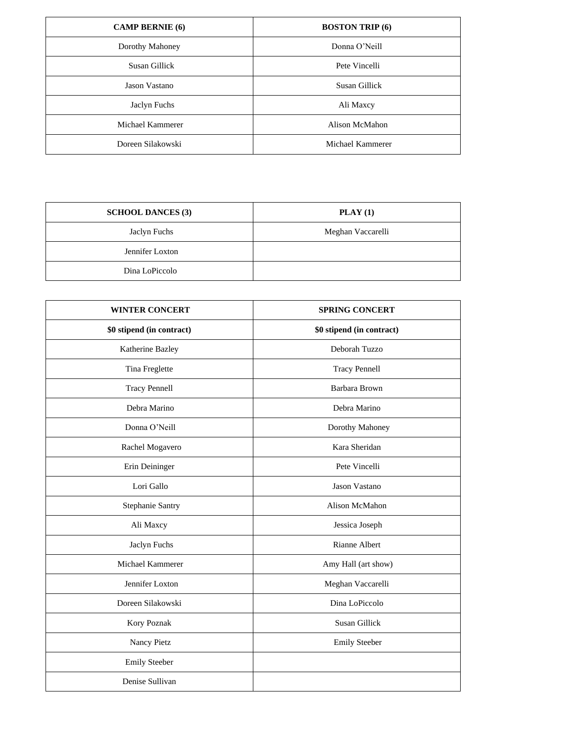| <b>CAMP BERNIE</b> (6) | <b>BOSTON TRIP (6)</b> |
|------------------------|------------------------|
| Dorothy Mahoney        | Donna O'Neill          |
| Susan Gillick          | Pete Vincelli          |
| Jason Vastano          | Susan Gillick          |
| Jaclyn Fuchs           | Ali Maxcy              |
| Michael Kammerer       | Alison McMahon         |
| Doreen Silakowski      | Michael Kammerer       |

| <b>SCHOOL DANCES (3)</b> | $\textbf{PLAN}$ (1) |
|--------------------------|---------------------|
| Jaclyn Fuchs             | Meghan Vaccarelli   |
| Jennifer Loxton          |                     |
| Dina LoPiccolo           |                     |

| <b>WINTER CONCERT</b>     | <b>SPRING CONCERT</b>     |
|---------------------------|---------------------------|
| \$0 stipend (in contract) | \$0 stipend (in contract) |
| Katherine Bazley          | Deborah Tuzzo             |
| Tina Freglette            | <b>Tracy Pennell</b>      |
| <b>Tracy Pennell</b>      | Barbara Brown             |
| Debra Marino              | Debra Marino              |
| Donna O'Neill             | Dorothy Mahoney           |
| Rachel Mogavero           | Kara Sheridan             |
| Erin Deininger            | Pete Vincelli             |
| Lori Gallo                | Jason Vastano             |
| Stephanie Santry          | Alison McMahon            |
| Ali Maxcy                 | Jessica Joseph            |
| Jaclyn Fuchs              | Rianne Albert             |
| Michael Kammerer          | Amy Hall (art show)       |
| Jennifer Loxton           | Meghan Vaccarelli         |
| Doreen Silakowski         | Dina LoPiccolo            |
| Kory Poznak               | Susan Gillick             |
| Nancy Pietz               | <b>Emily Steeber</b>      |
| <b>Emily Steeber</b>      |                           |
| Denise Sullivan           |                           |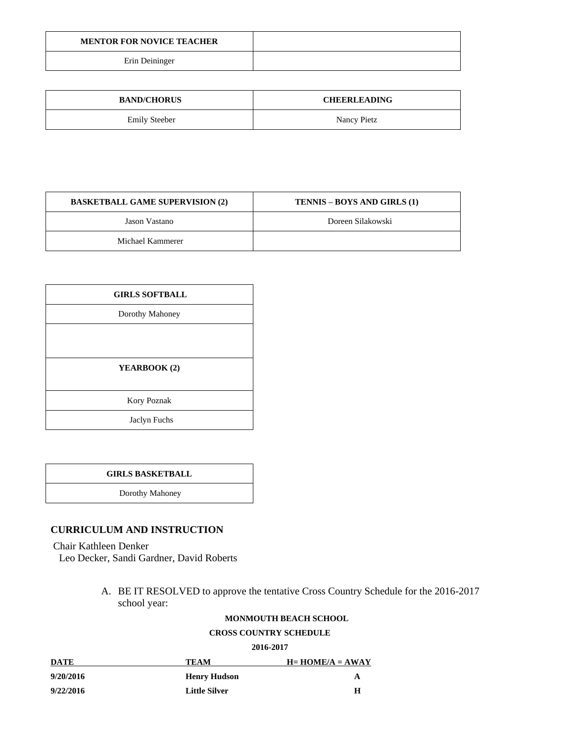| <b>MENTOR FOR NOVICE TEACHER</b> |  |
|----------------------------------|--|
| Erin Deininger                   |  |

| <b>BAND/CHORUS</b>   | <b>CHEERLEADING</b> |
|----------------------|---------------------|
| <b>Emily Steeber</b> | Nancy Pietz         |

| <b>BASKETBALL GAME SUPERVISION (2)</b> | <b>TENNIS – BOYS AND GIRLS (1)</b> |
|----------------------------------------|------------------------------------|
| Jason Vastano                          | Doreen Silakowski                  |
| Michael Kammerer                       |                                    |

| <b>GIRLS SOFTBALL</b> |  |
|-----------------------|--|
| Dorothy Mahoney       |  |
|                       |  |
|                       |  |
| YEARBOOK (2)          |  |
|                       |  |
| Kory Poznak           |  |
| Jaclyn Fuchs          |  |

Dorothy Mahoney

# **CURRICULUM AND INSTRUCTION**

Chair Kathleen Denker

Leo Decker, Sandi Gardner, David Roberts

A. BE IT RESOLVED to approve the tentative Cross Country Schedule for the 2016-2017 school year:

#### **MONMOUTH BEACH SCHOOL**

# **CROSS COUNTRY SCHEDULE**

**2016-2017**

| DATE      | TEAM                 | $H=HOME/A = AWAY$ |
|-----------|----------------------|-------------------|
| 9/20/2016 | <b>Henry Hudson</b>  | A                 |
| 9/22/2016 | <b>Little Silver</b> | Н                 |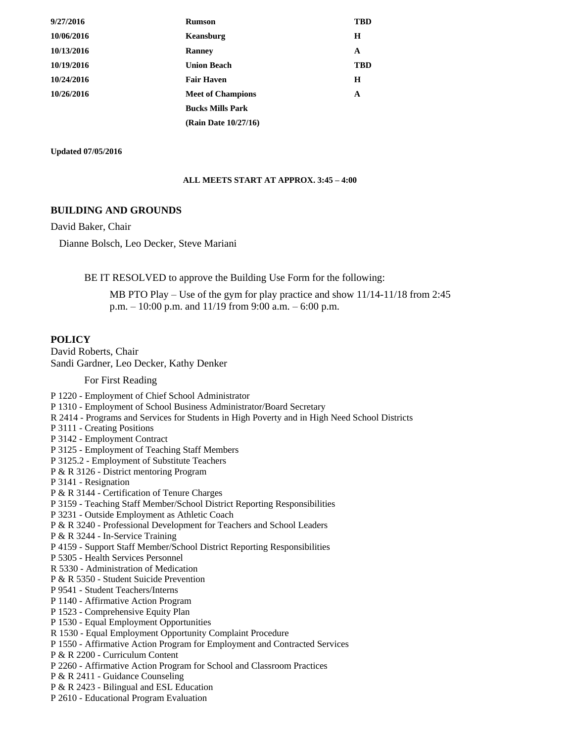| 9/27/2016  | <b>Rumson</b>            | TBD        |
|------------|--------------------------|------------|
| 10/06/2016 | Keansburg                | H          |
| 10/13/2016 | <b>Ranney</b>            | A          |
| 10/19/2016 | <b>Union Beach</b>       | <b>TBD</b> |
| 10/24/2016 | <b>Fair Haven</b>        | H          |
| 10/26/2016 | <b>Meet of Champions</b> | A          |
|            | <b>Bucks Mills Park</b>  |            |
|            | (Rain Date 10/27/16)     |            |

**Updated 07/05/2016**

#### **ALL MEETS START AT APPROX. 3:45 – 4:00**

#### **BUILDING AND GROUNDS**

David Baker, Chair

Dianne Bolsch, Leo Decker, Steve Mariani

BE IT RESOLVED to approve the Building Use Form for the following:

MB PTO Play – Use of the gym for play practice and show 11/14-11/18 from 2:45 p.m.  $-10:00$  p.m. and  $11/19$  from 9:00 a.m.  $-6:00$  p.m.

#### **POLICY**

David Roberts, Chair Sandi Gardner, Leo Decker, Kathy Denker

For First Reading

- P 1220 Employment of Chief School Administrator
- P 1310 Employment of School Business Administrator/Board Secretary
- R 2414 Programs and Services for Students in High Poverty and in High Need School Districts
- P 3111 Creating Positions
- P 3142 Employment Contract
- P 3125 Employment of Teaching Staff Members
- P 3125.2 Employment of Substitute Teachers
- P & R 3126 District mentoring Program
- P 3141 Resignation
- P & R 3144 Certification of Tenure Charges
- P 3159 Teaching Staff Member/School District Reporting Responsibilities
- P 3231 Outside Employment as Athletic Coach
- P & R 3240 Professional Development for Teachers and School Leaders
- P & R 3244 In-Service Training
- P 4159 Support Staff Member/School District Reporting Responsibilities
- P 5305 Health Services Personnel
- R 5330 Administration of Medication
- P & R 5350 Student Suicide Prevention
- P 9541 Student Teachers/Interns
- P 1140 Affirmative Action Program
- P 1523 Comprehensive Equity Plan
- P 1530 Equal Employment Opportunities
- R 1530 Equal Employment Opportunity Complaint Procedure
- P 1550 Affirmative Action Program for Employment and Contracted Services
- P & R 2200 Curriculum Content
- P 2260 Affirmative Action Program for School and Classroom Practices
- P & R 2411 Guidance Counseling
- P & R 2423 Bilingual and ESL Education
- P 2610 Educational Program Evaluation